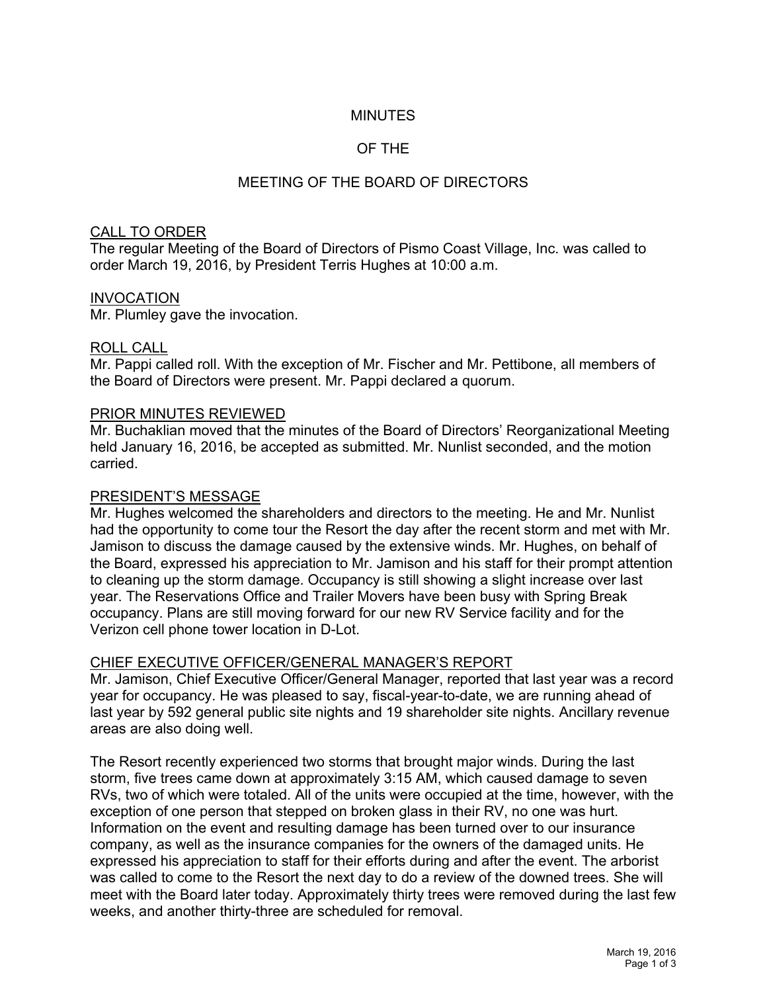## MINUTES

# OF THE

# MEETING OF THE BOARD OF DIRECTORS

### CALL TO ORDER

The regular Meeting of the Board of Directors of Pismo Coast Village, Inc. was called to order March 19, 2016, by President Terris Hughes at 10:00 a.m.

#### INVOCATION

Mr. Plumley gave the invocation.

#### ROLL CALL

Mr. Pappi called roll. With the exception of Mr. Fischer and Mr. Pettibone, all members of the Board of Directors were present. Mr. Pappi declared a quorum.

#### PRIOR MINUTES REVIEWED

Mr. Buchaklian moved that the minutes of the Board of Directors' Reorganizational Meeting held January 16, 2016, be accepted as submitted. Mr. Nunlist seconded, and the motion carried.

#### PRESIDENT'S MESSAGE

Mr. Hughes welcomed the shareholders and directors to the meeting. He and Mr. Nunlist had the opportunity to come tour the Resort the day after the recent storm and met with Mr. Jamison to discuss the damage caused by the extensive winds. Mr. Hughes, on behalf of the Board, expressed his appreciation to Mr. Jamison and his staff for their prompt attention to cleaning up the storm damage. Occupancy is still showing a slight increase over last year. The Reservations Office and Trailer Movers have been busy with Spring Break occupancy. Plans are still moving forward for our new RV Service facility and for the Verizon cell phone tower location in D-Lot.

#### CHIEF EXECUTIVE OFFICER/GENERAL MANAGER'S REPORT

Mr. Jamison, Chief Executive Officer/General Manager, reported that last year was a record year for occupancy. He was pleased to say, fiscal-year-to-date, we are running ahead of last year by 592 general public site nights and 19 shareholder site nights. Ancillary revenue areas are also doing well.

The Resort recently experienced two storms that brought major winds. During the last storm, five trees came down at approximately 3:15 AM, which caused damage to seven RVs, two of which were totaled. All of the units were occupied at the time, however, with the exception of one person that stepped on broken glass in their RV, no one was hurt. Information on the event and resulting damage has been turned over to our insurance company, as well as the insurance companies for the owners of the damaged units. He expressed his appreciation to staff for their efforts during and after the event. The arborist was called to come to the Resort the next day to do a review of the downed trees. She will meet with the Board later today. Approximately thirty trees were removed during the last few weeks, and another thirty-three are scheduled for removal.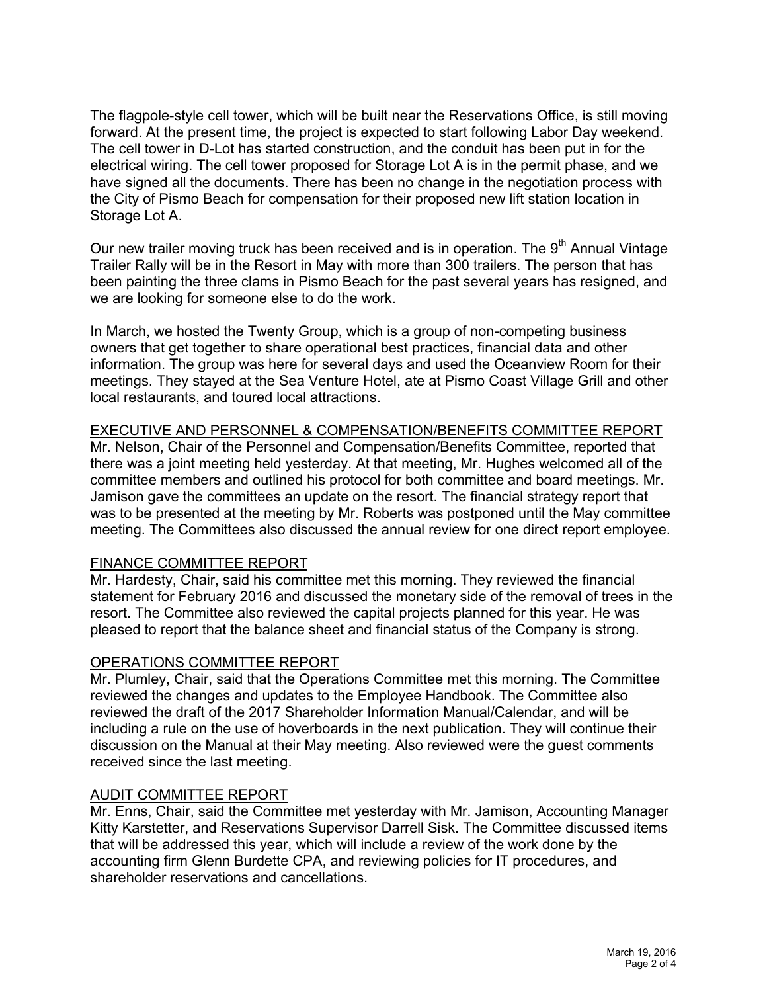The flagpole-style cell tower, which will be built near the Reservations Office, is still moving forward. At the present time, the project is expected to start following Labor Day weekend. The cell tower in D-Lot has started construction, and the conduit has been put in for the electrical wiring. The cell tower proposed for Storage Lot A is in the permit phase, and we have signed all the documents. There has been no change in the negotiation process with the City of Pismo Beach for compensation for their proposed new lift station location in Storage Lot A.

Our new trailer moving truck has been received and is in operation. The 9<sup>th</sup> Annual Vintage Trailer Rally will be in the Resort in May with more than 300 trailers. The person that has been painting the three clams in Pismo Beach for the past several years has resigned, and we are looking for someone else to do the work.

In March, we hosted the Twenty Group, which is a group of non-competing business owners that get together to share operational best practices, financial data and other information. The group was here for several days and used the Oceanview Room for their meetings. They stayed at the Sea Venture Hotel, ate at Pismo Coast Village Grill and other local restaurants, and toured local attractions.

## EXECUTIVE AND PERSONNEL & COMPENSATION/BENEFITS COMMITTEE REPORT

Mr. Nelson, Chair of the Personnel and Compensation/Benefits Committee, reported that there was a joint meeting held yesterday. At that meeting, Mr. Hughes welcomed all of the committee members and outlined his protocol for both committee and board meetings. Mr. Jamison gave the committees an update on the resort. The financial strategy report that was to be presented at the meeting by Mr. Roberts was postponed until the May committee meeting. The Committees also discussed the annual review for one direct report employee.

## FINANCE COMMITTEE REPORT

Mr. Hardesty, Chair, said his committee met this morning. They reviewed the financial statement for February 2016 and discussed the monetary side of the removal of trees in the resort. The Committee also reviewed the capital projects planned for this year. He was pleased to report that the balance sheet and financial status of the Company is strong.

## OPERATIONS COMMITTEE REPORT

Mr. Plumley, Chair, said that the Operations Committee met this morning. The Committee reviewed the changes and updates to the Employee Handbook. The Committee also reviewed the draft of the 2017 Shareholder Information Manual/Calendar, and will be including a rule on the use of hoverboards in the next publication. They will continue their discussion on the Manual at their May meeting. Also reviewed were the guest comments received since the last meeting.

## AUDIT COMMITTEE REPORT

Mr. Enns, Chair, said the Committee met yesterday with Mr. Jamison, Accounting Manager Kitty Karstetter, and Reservations Supervisor Darrell Sisk. The Committee discussed items that will be addressed this year, which will include a review of the work done by the accounting firm Glenn Burdette CPA, and reviewing policies for IT procedures, and shareholder reservations and cancellations.